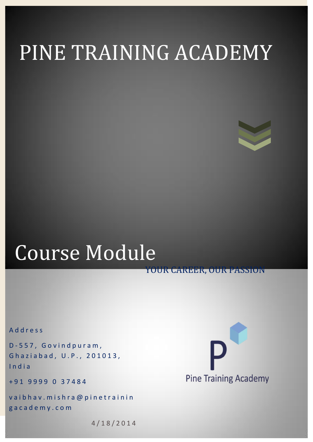# PINE TRAINING ACADEMY

## Course Module

YOUR CAREER, OUR PASSION

A d d r e s s

D-557, Govindpuram, Ghaziabad, U.P., 201013, I n d i a

+ 9 1 9 9 9 9 0 3 7 4 8 4

vaibhav. mishra@pinetrainin g a c a d e m y . c o m



4 / 1 8 / 2 0 1 4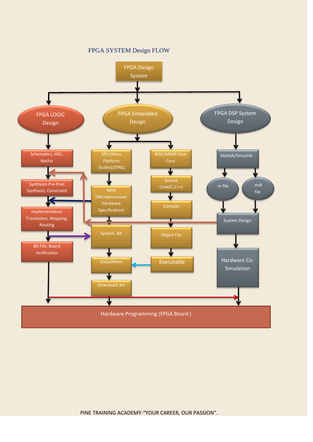FPGA SYSTEM Design FLOW

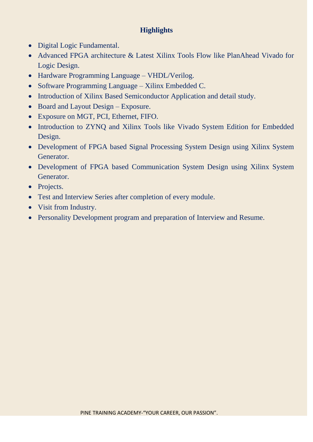#### **Highlights**

- Digital Logic Fundamental.
- Advanced FPGA architecture & Latest Xilinx Tools Flow like PlanAhead Vivado for Logic Design.
- Hardware Programming Language VHDL/Verilog.
- Software Programming Language Xilinx Embedded C.
- Introduction of Xilinx Based Semiconductor Application and detail study.
- Board and Layout Design Exposure.
- Exposure on MGT, PCI, Ethernet, FIFO.
- Introduction to ZYNQ and Xilinx Tools like Vivado System Edition for Embedded Design.
- Development of FPGA based Signal Processing System Design using Xilinx System Generator.
- Development of FPGA based Communication System Design using Xilinx System Generator.
- Projects.
- Test and Interview Series after completion of every module.
- Visit from Industry.
- Personality Development program and preparation of Interview and Resume.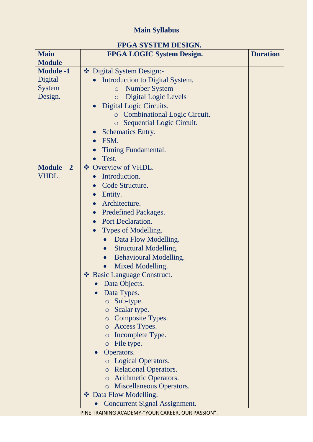### **Main Syllabus**

| <b>FPGA SYSTEM DESIGN.</b> |                                            |                 |
|----------------------------|--------------------------------------------|-----------------|
| <b>Main</b>                | <b>FPGA LOGIC System Design.</b>           | <b>Duration</b> |
| <b>Module</b>              |                                            |                 |
| <b>Module -1</b>           | ❖ Digital System Design:-                  |                 |
| Digital                    | Introduction to Digital System.            |                 |
| <b>System</b>              | <b>Number System</b><br>$\circ$            |                 |
| Design.                    | <b>Digital Logic Levels</b><br>$\circ$     |                 |
|                            | Digital Logic Circuits.                    |                 |
|                            | <b>c</b> Combinational Logic Circuit.      |                 |
|                            | Sequential Logic Circuit.<br>$\circ$       |                 |
|                            | <b>Schematics Entry.</b>                   |                 |
|                            | FSM.                                       |                 |
|                            | Timing Fundamental.                        |                 |
|                            | Test.                                      |                 |
| $Module - 2$               | ❖ Overview of VHDL.                        |                 |
| VHDL.                      | Introduction.                              |                 |
|                            | Code Structure.<br>$\bullet$               |                 |
|                            | Entity.                                    |                 |
|                            | Architecture.                              |                 |
|                            | <b>Predefined Packages.</b><br>$\bullet$   |                 |
|                            | <b>Port Declaration.</b>                   |                 |
|                            | Types of Modelling.                        |                 |
|                            | Data Flow Modelling.                       |                 |
|                            | <b>Structural Modelling.</b><br>$\bullet$  |                 |
|                            | <b>Behavioural Modelling.</b><br>$\bullet$ |                 |
|                            | Mixed Modelling.                           |                 |
|                            | ❖ Basic Language Construct.                |                 |
|                            | Data Objects.                              |                 |
|                            | Data Types.                                |                 |
|                            | $\circ$ Sub-type.                          |                 |
|                            | <b>Scalar type.</b>                        |                 |
|                            | <b>Composite Types.</b>                    |                 |
|                            | o Access Types.                            |                 |
|                            | Incomplete Type.<br>$\circ$                |                 |
|                            | File type.<br>$\circ$                      |                 |
|                            | Operators.                                 |                 |
|                            | <b>Logical Operators.</b>                  |                 |
|                            | o Relational Operators.                    |                 |
|                            | o Arithmetic Operators.                    |                 |
|                            | o Miscellaneous Operators.                 |                 |
|                            | ❖ Data Flow Modelling.                     |                 |
|                            | <b>Concurrent Signal Assignment.</b>       |                 |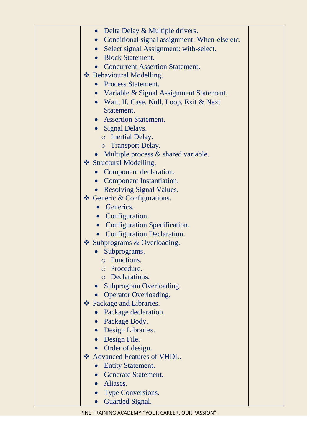| Delta Delay & Multiple drivers.<br>$\bullet$               |
|------------------------------------------------------------|
| Conditional signal assignment: When-else etc.<br>$\bullet$ |
| Select signal Assignment: with-select.                     |
| <b>Block Statement.</b>                                    |
| <b>Concurrent Assertion Statement.</b>                     |
| ❖ Behavioural Modelling.                                   |
| <b>Process Statement.</b>                                  |
| Variable & Signal Assignment Statement.<br>$\bullet$       |
| • Wait, If, Case, Null, Loop, Exit & Next                  |
| Statement.                                                 |
| <b>Assertion Statement.</b>                                |
| • Signal Delays.                                           |
| o Inertial Delay.                                          |
| <b>Transport Delay.</b><br>$\circ$                         |
| • Multiple process $&$ shared variable.                    |
| ❖ Structural Modelling.                                    |
| Component declaration.                                     |
| • Component Instantiation.                                 |
| <b>Resolving Signal Values.</b>                            |
| $\triangle$ Generic & Configurations.                      |
| Generics.                                                  |
| • Configuration.                                           |
| <b>Configuration Specification.</b><br>$\bullet$           |
| <b>Configuration Declaration.</b>                          |
| Subprograms & Overloading.                                 |
| Subprograms.                                               |
| <b>O</b> Functions                                         |
| Procedure.<br>$\circ$                                      |
| Declarations.<br>$\circ$                                   |
| Subprogram Overloading.                                    |
| <b>Operator Overloading.</b>                               |
| ❖ Package and Libraries.                                   |
| Package declaration.                                       |
| • Package Body.                                            |
| Design Libraries.<br>$\bullet$                             |
| Design File.<br>$\bullet$                                  |
| Order of design.                                           |
| ❖ Advanced Features of VHDL.                               |
| <b>Entity Statement.</b>                                   |
| <b>Generate Statement.</b>                                 |
| · Aliases.                                                 |
| Type Conversions.                                          |
| Guarded Signal.                                            |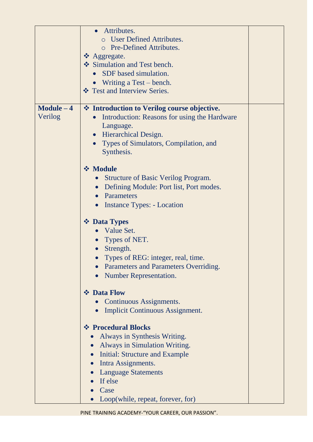|              | Attributes.<br><b>User Defined Attributes.</b>          |
|--------------|---------------------------------------------------------|
|              | o Pre-Defined Attributes.                               |
|              | ❖ Aggregate.                                            |
|              | Simulation and Test bench.                              |
|              | • SDF based simulation.                                 |
|              | • Writing a Test – bench.                               |
|              | ❖ Test and Interview Series.                            |
| $Module - 4$ | ❖ Introduction to Verilog course objective.             |
| Verilog      | Introduction: Reasons for using the Hardware            |
|              | Language.                                               |
|              | • Hierarchical Design.                                  |
|              | Types of Simulators, Compilation, and                   |
|              | Synthesis.                                              |
|              | <b>❖ Module</b>                                         |
|              | <b>Structure of Basic Verilog Program.</b><br>$\bullet$ |
|              | Defining Module: Port list, Port modes.<br>$\bullet$    |
|              | Parameters<br>$\bullet$                                 |
|              | Instance Types: - Location<br>$\bullet$                 |
|              | ❖ Data Types                                            |
|              | Value Set.                                              |
|              | Types of NET.                                           |
|              | Strength.                                               |
|              | Types of REG: integer, real, time.                      |
|              | Parameters and Parameters Overriding.                   |
|              | <b>Number Representation.</b>                           |
|              | ❖ Data Flow                                             |
|              | Continuous Assignments.                                 |
|              | <b>Implicit Continuous Assignment.</b>                  |
|              | ❖ Procedural Blocks                                     |
|              | Always in Synthesis Writing.                            |
|              | <b>Always in Simulation Writing.</b>                    |
|              | Initial: Structure and Example                          |
|              | Intra Assignments.<br>$\bullet$                         |
|              | <b>Language Statements</b>                              |
|              | If else                                                 |
|              | Case                                                    |
|              | Loop(while, repeat, forever, for)                       |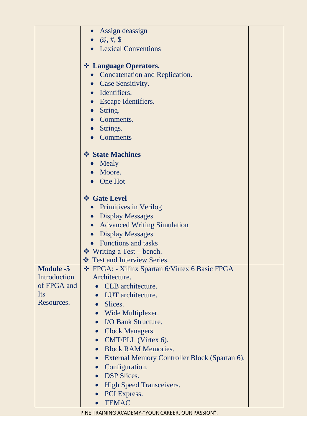|                  | Assign deassign                                            |
|------------------|------------------------------------------------------------|
|                  | $\omega, \#$ , \$                                          |
|                  | • Lexical Conventions                                      |
|                  |                                                            |
|                  | ❖ Language Operators.                                      |
|                  | <b>Concatenation and Replication.</b>                      |
|                  | Case Sensitivity.<br>$\bullet$                             |
|                  | Identifiers.<br>$\bullet$                                  |
|                  | <b>Escape Identifiers.</b>                                 |
|                  | String.                                                    |
|                  | Comments.                                                  |
|                  | Strings.                                                   |
|                  | Comments                                                   |
|                  |                                                            |
|                  | ❖ State Machines                                           |
|                  | Mealy<br>$\bullet$                                         |
|                  | Moore.                                                     |
|                  | One Hot                                                    |
|                  | ❖ Gate Level                                               |
|                  | <b>Primitives in Verilog</b><br>$\bullet$                  |
|                  | • Display Messages                                         |
|                  | <b>Advanced Writing Simulation</b><br>$\bullet$            |
|                  | <b>Display Messages</b><br>$\bullet$                       |
|                  | <b>Functions and tasks</b>                                 |
|                  | $\div$ Writing a Test – bench.                             |
|                  | ❖ Test and Interview Series.                               |
| <b>Module -5</b> | ❖ FPGA: - Xilinx Spartan 6/Virtex 6 Basic FPGA             |
| Introduction     | Architecture.                                              |
| of FPGA and      | CLB architecture.                                          |
| Its              | LUT architecture.                                          |
| Resources.       | Slices.<br>$\bullet$                                       |
|                  | Wide Multiplexer.<br>$\bullet$                             |
|                  | I/O Bank Structure.<br>$\bullet$                           |
|                  | <b>Clock Managers.</b><br>$\bullet$                        |
|                  | CMT/PLL (Virtex 6).<br>$\bullet$                           |
|                  | <b>Block RAM Memories.</b><br>$\bullet$                    |
|                  | External Memory Controller Block (Spartan 6).<br>$\bullet$ |
|                  | Configuration.<br>$\bullet$                                |
|                  | <b>DSP Slices.</b><br>$\bullet$                            |
|                  | <b>High Speed Transceivers.</b><br>$\bullet$               |
|                  | PCI Express.<br>$\bullet$                                  |
|                  | <b>TEMAC</b><br>$\bullet$                                  |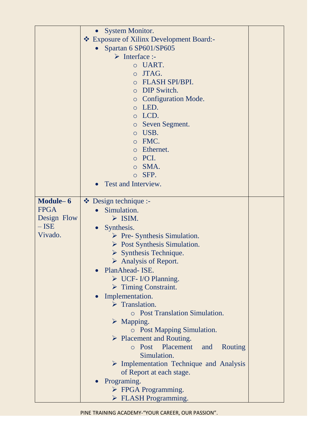|             | <b>System Monitor.</b>                                 |
|-------------|--------------------------------------------------------|
|             | ❖ Exposure of Xilinx Development Board:-               |
|             | Spartan 6 SP601/SP605                                  |
|             | $\triangleright$ Interface :-                          |
|             | o UART.                                                |
|             | JTAG.<br>$\circ$                                       |
|             | <b>FLASH SPI/BPI.</b>                                  |
|             | $\circ$                                                |
|             | o DIP Switch.                                          |
|             | <b>c</b> Configuration Mode.                           |
|             | LED.<br>$\circ$                                        |
|             | o LCD.                                                 |
|             | Seven Segment.<br>$\circ$                              |
|             | USB.<br>$\circ$                                        |
|             | FMC.<br>$\circ$                                        |
|             | Ethernet.<br>$\circ$                                   |
|             | PCI.<br>$\circ$                                        |
|             | SMA.<br>$\circ$                                        |
|             | SFP.<br>$\circ$                                        |
|             | Test and Interview.                                    |
|             |                                                        |
| Module-6    | $\bullet$ Design technique :-                          |
| <b>FPGA</b> |                                                        |
|             | Simulation.                                            |
| Design Flow | $\triangleright$ ISIM.                                 |
| $-$ ISE     | Synthesis.<br>$\bullet$                                |
| Vivado.     | $\triangleright$ Pre- Synthesis Simulation.            |
|             | $\triangleright$ Post Synthesis Simulation.            |
|             | $\triangleright$ Synthesis Technique.                  |
|             | $\triangleright$ Analysis of Report.                   |
|             | PlanAhead- ISE.<br>$\bullet$                           |
|             | $\triangleright$ UCF-I/O Planning.                     |
|             | $\triangleright$ Timing Constraint.                    |
|             | Implementation.<br>$\bullet$                           |
|             | $\triangleright$ Translation.                          |
|             | <b>O</b> Post Translation Simulation.                  |
|             | $\triangleright$ Mapping.                              |
|             | <b>O</b> Post Mapping Simulation.                      |
|             | $\triangleright$ Placement and Routing.                |
|             |                                                        |
|             | o Post Placement<br>and<br>Routing                     |
|             | Simulation.                                            |
|             | $\triangleright$ Implementation Technique and Analysis |
|             | of Report at each stage.                               |
|             | Programing.                                            |
|             | $\triangleright$ FPGA Programming.                     |
|             | $\triangleright$ FLASH Programming.                    |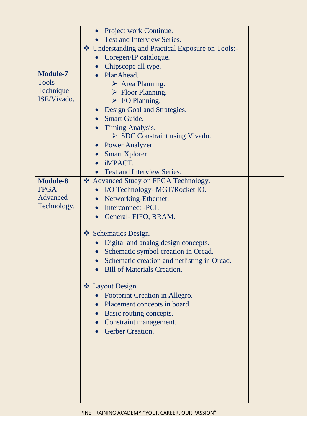|                 | Project work Continue.<br>$\bullet$                 |
|-----------------|-----------------------------------------------------|
|                 | Test and Interview Series.                          |
|                 | ❖ Understanding and Practical Exposure on Tools:-   |
|                 | Coregen/IP catalogue.<br>$\bullet$                  |
|                 | Chipscope all type.<br>$\bullet$                    |
| <b>Module-7</b> | PlanAhead.<br>$\bullet$                             |
| <b>Tools</b>    | $\triangleright$ Area Planning.                     |
| Technique       | $\triangleright$ Floor Planning.                    |
| ISE/Vivado.     | $\triangleright$ I/O Planning.                      |
|                 | Design Goal and Strategies.<br>$\bullet$            |
|                 | <b>Smart Guide.</b><br>$\bullet$                    |
|                 | <b>Timing Analysis.</b>                             |
|                 | $\triangleright$ SDC Constraint using Vivado.       |
|                 | <b>Power Analyzer.</b><br>$\bullet$                 |
|                 | Smart Xplorer.<br>$\bullet$<br>iMPACT.<br>$\bullet$ |
|                 | <b>Test and Interview Series.</b><br>$\bullet$      |
| <b>Module-8</b> | ❖ Advanced Study on FPGA Technology.                |
| <b>FPGA</b>     | I/O Technology- MGT/Rocket IO.                      |
| Advanced        | Networking-Ethernet.<br>$\bullet$                   |
| Technology.     | Interconnect -PCI.<br>$\bullet$                     |
|                 | General- FIFO, BRAM.<br>$\bullet$                   |
|                 |                                                     |
|                 | ❖ Schematics Design.                                |
|                 | Digital and analog design concepts.                 |
|                 | Schematic symbol creation in Orcad.                 |
|                 | Schematic creation and netlisting in Orcad.         |
|                 | <b>Bill of Materials Creation.</b>                  |
|                 | ❖ Layout Design                                     |
|                 | Footprint Creation in Allegro.<br>$\bullet$         |
|                 | Placement concepts in board.<br>$\bullet$           |
|                 | Basic routing concepts.                             |
|                 | Constraint management.                              |
|                 | <b>Gerber Creation.</b>                             |
|                 |                                                     |
|                 |                                                     |
|                 |                                                     |
|                 |                                                     |
|                 |                                                     |
|                 |                                                     |
|                 |                                                     |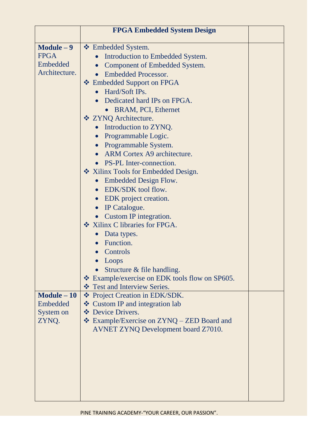|                                                          | <b>FPGA Embedded System Design</b>                                                                                                                                                                                                                                                                                                                                                                                                                                                                                                                                                                                                                                                                                                                       |  |
|----------------------------------------------------------|----------------------------------------------------------------------------------------------------------------------------------------------------------------------------------------------------------------------------------------------------------------------------------------------------------------------------------------------------------------------------------------------------------------------------------------------------------------------------------------------------------------------------------------------------------------------------------------------------------------------------------------------------------------------------------------------------------------------------------------------------------|--|
| $Module - 9$<br><b>FPGA</b><br>Embedded<br>Architecture. | ❖ Embedded System.<br>Introduction to Embedded System.<br>Component of Embedded System.<br>$\bullet$<br><b>Embedded Processor.</b><br>❖ Embedded Support on FPGA<br>Hard/Soft IPs.<br>$\bullet$<br>Dedicated hard IPs on FPGA.<br>• BRAM, PCI, Ethernet<br>❖ ZYNQ Architecture.<br>Introduction to ZYNQ.<br>$\bullet$<br>Programmable Logic.<br>$\bullet$<br>Programmable System.<br>$\bullet$<br>ARM Cortex A9 architecture.<br><b>PS-PL</b> Inter-connection.<br>❖ Xilinx Tools for Embedded Design.<br>Embedded Design Flow.<br>$\bullet$<br>EDK/SDK tool flow.<br>$\bullet$<br>EDK project creation.<br>$\bullet$<br>IP Catalogue.<br>$\bullet$<br>Custom IP integration.<br>❖ Xilinx C libraries for FPGA.<br>Data types.<br>$\bullet$<br>Function. |  |
|                                                          | Controls<br>Loops<br>Structure & file handling.<br>❖ Example/exercise on EDK tools flow on SP605.                                                                                                                                                                                                                                                                                                                                                                                                                                                                                                                                                                                                                                                        |  |
| $Module - 10$<br>Embedded<br>System on<br>ZYNQ.          | ❖ Test and Interview Series.<br>❖ Project Creation in EDK/SDK.<br>❖ Custom IP and integration lab<br>❖ Device Drivers.<br>❖ Example/Exercise on ZYNQ – ZED Board and<br><b>AVNET ZYNQ Development board Z7010.</b>                                                                                                                                                                                                                                                                                                                                                                                                                                                                                                                                       |  |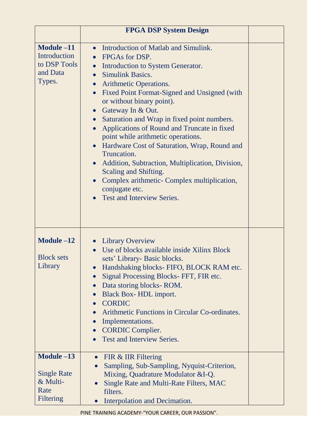|                                                                   | <b>FPGA DSP System Design</b>                                                                                                                                                                                                                                                                                                                                                                                                                                                                                                                                                                                                                                                                                    |  |
|-------------------------------------------------------------------|------------------------------------------------------------------------------------------------------------------------------------------------------------------------------------------------------------------------------------------------------------------------------------------------------------------------------------------------------------------------------------------------------------------------------------------------------------------------------------------------------------------------------------------------------------------------------------------------------------------------------------------------------------------------------------------------------------------|--|
| Module -11<br>Introduction<br>to DSP Tools<br>and Data<br>Types.  | Introduction of Matlab and Simulink.<br>$\bullet$<br>FPGAs for DSP.<br>$\bullet$<br>Introduction to System Generator.<br><b>Simulink Basics.</b><br><b>Arithmetic Operations.</b><br>$\bullet$<br>Fixed Point Format-Signed and Unsigned (with<br>$\bullet$<br>or without binary point).<br>Gateway In & Out.<br>$\bullet$<br>Saturation and Wrap in fixed point numbers.<br>Applications of Round and Truncate in fixed<br>point while arithmetic operations.<br>Hardware Cost of Saturation, Wrap, Round and<br>Truncation.<br>Addition, Subtraction, Multiplication, Division,<br>Scaling and Shifting.<br>Complex arithmetic- Complex multiplication,<br>conjugate etc.<br><b>Test and Interview Series.</b> |  |
| Module $-12$<br><b>Block sets</b><br>Library                      | <b>Library Overview</b><br>Use of blocks available inside Xilinx Block<br>sets' Library- Basic blocks.<br>Handshaking blocks- FIFO, BLOCK RAM etc.<br>Signal Processing Blocks-FFT, FIR etc.<br>Data storing blocks-ROM.<br>Black Box-HDL import.<br>$\bullet$<br><b>CORDIC</b><br>$\bullet$<br>Arithmetic Functions in Circular Co-ordinates.<br>Implementations.<br>$\bullet$<br><b>CORDIC Complier.</b><br>Test and Interview Series.                                                                                                                                                                                                                                                                         |  |
| Module -13<br><b>Single Rate</b><br>& Multi-<br>Rate<br>Filtering | <b>FIR &amp; IIR Filtering</b><br>$\bullet$<br>Sampling, Sub-Sampling, Nyquist-Criterion,<br>$\bullet$<br>Mixing, Quadrature Modulator &I-Q.<br>Single Rate and Multi-Rate Filters, MAC<br>filters.<br>Interpolation and Decimation.                                                                                                                                                                                                                                                                                                                                                                                                                                                                             |  |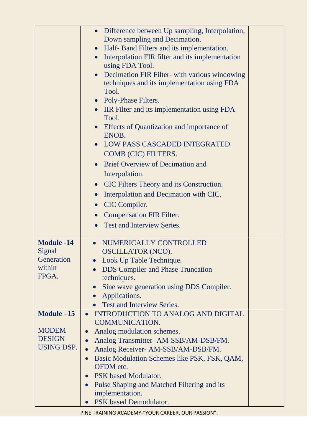|                                           | Difference between Up sampling, Interpolation,<br>Down sampling and Decimation.<br>Half- Band Filters and its implementation.<br>$\bullet$<br>Interpolation FIR filter and its implementation<br>$\bullet$<br>using FDA Tool.<br>Decimation FIR Filter- with various windowing<br>techniques and its implementation using FDA<br>Tool.<br>• Poly-Phase Filters.<br>• IIR Filter and its implementation using FDA<br>Tool.<br>Effects of Quantization and importance of<br>ENOB.<br><b>LOW PASS CASCADED INTEGRATED</b><br>COMB (CIC) FILTERS.<br><b>Brief Overview of Decimation and</b><br>Interpolation.<br>CIC Filters Theory and its Construction.<br>$\bullet$<br>Interpolation and Decimation with CIC.<br>CIC Compiler.<br>$\bullet$<br><b>Compensation FIR Filter.</b><br>$\bullet$<br><b>Test and Interview Series.</b><br>$\bullet$ |  |
|-------------------------------------------|-----------------------------------------------------------------------------------------------------------------------------------------------------------------------------------------------------------------------------------------------------------------------------------------------------------------------------------------------------------------------------------------------------------------------------------------------------------------------------------------------------------------------------------------------------------------------------------------------------------------------------------------------------------------------------------------------------------------------------------------------------------------------------------------------------------------------------------------------|--|
| <b>Module -14</b><br>Signal<br>Generation | NUMERICALLY CONTROLLED<br><b>OSCILLATOR (NCO).</b><br>Look Up Table Technique.                                                                                                                                                                                                                                                                                                                                                                                                                                                                                                                                                                                                                                                                                                                                                                |  |
| within<br>FPGA.                           | <b>DDS</b> Compiler and Phase Truncation<br>techniques.                                                                                                                                                                                                                                                                                                                                                                                                                                                                                                                                                                                                                                                                                                                                                                                       |  |
|                                           | Sine wave generation using DDS Compiler.                                                                                                                                                                                                                                                                                                                                                                                                                                                                                                                                                                                                                                                                                                                                                                                                      |  |
|                                           | Applications.<br><b>Test and Interview Series.</b>                                                                                                                                                                                                                                                                                                                                                                                                                                                                                                                                                                                                                                                                                                                                                                                            |  |
| Module $-15$                              | INTRODUCTION TO ANALOG AND DIGITAL<br>$\bullet$                                                                                                                                                                                                                                                                                                                                                                                                                                                                                                                                                                                                                                                                                                                                                                                               |  |
| <b>MODEM</b>                              | <b>COMMUNICATION.</b><br>Analog modulation schemes.<br>$\bullet$                                                                                                                                                                                                                                                                                                                                                                                                                                                                                                                                                                                                                                                                                                                                                                              |  |
| <b>DESIGN</b>                             | Analog Transmitter-AM-SSB/AM-DSB/FM.                                                                                                                                                                                                                                                                                                                                                                                                                                                                                                                                                                                                                                                                                                                                                                                                          |  |
| <b>USING DSP.</b>                         | Analog Receiver- AM-SSB/AM-DSB/FM.                                                                                                                                                                                                                                                                                                                                                                                                                                                                                                                                                                                                                                                                                                                                                                                                            |  |
|                                           | Basic Modulation Schemes like PSK, FSK, QAM,<br>$\bullet$                                                                                                                                                                                                                                                                                                                                                                                                                                                                                                                                                                                                                                                                                                                                                                                     |  |
|                                           | OFDM etc.<br>PSK based Modulator.<br>$\bullet$                                                                                                                                                                                                                                                                                                                                                                                                                                                                                                                                                                                                                                                                                                                                                                                                |  |
|                                           | Pulse Shaping and Matched Filtering and its                                                                                                                                                                                                                                                                                                                                                                                                                                                                                                                                                                                                                                                                                                                                                                                                   |  |
|                                           | implementation.                                                                                                                                                                                                                                                                                                                                                                                                                                                                                                                                                                                                                                                                                                                                                                                                                               |  |
|                                           | PSK based Demodulator.                                                                                                                                                                                                                                                                                                                                                                                                                                                                                                                                                                                                                                                                                                                                                                                                                        |  |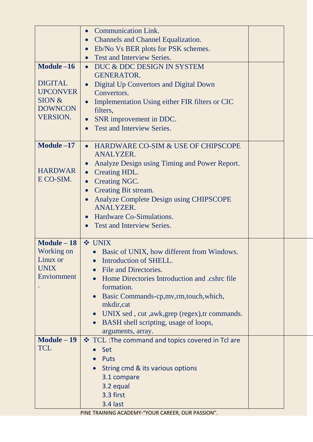|                 | <b>Communication Link.</b><br>$\bullet$                       |  |
|-----------------|---------------------------------------------------------------|--|
|                 | <b>Channels and Channel Equalization.</b><br>$\bullet$        |  |
|                 | Eb/No Vs BER plots for PSK schemes.<br>$\bullet$              |  |
|                 | <b>Test and Interview Series.</b><br>$\bullet$                |  |
| Module $-16$    | DUC & DDC DESIGN IN SYSTEM<br>$\bullet$                       |  |
|                 | <b>GENERATOR.</b>                                             |  |
| <b>DIGITAL</b>  | Digital Up Convertors and Digital Down<br>$\bullet$           |  |
| <b>UPCONVER</b> | Convertors.                                                   |  |
| SION &          | Implementation Using either FIR filters or CIC<br>$\bullet$   |  |
| <b>DOWNCON</b>  | filters,                                                      |  |
| <b>VERSION.</b> | SNR improvement in DDC.<br>$\bullet$                          |  |
|                 | <b>Test and Interview Series.</b><br>$\bullet$                |  |
|                 |                                                               |  |
| Module $-17$    | • HARDWARE CO-SIM & USE OF CHIPSCOPE                          |  |
|                 | <b>ANALYZER.</b>                                              |  |
|                 | Analyze Design using Timing and Power Report.<br>$\bullet$    |  |
| <b>HARDWAR</b>  | Creating HDL.<br>$\bullet$                                    |  |
| E CO-SIM.       | Creating NGC.<br>$\bullet$                                    |  |
|                 | Creating Bit stream.<br>$\bullet$                             |  |
|                 | Analyze Complete Design using CHIPSCOPE<br>$\bullet$          |  |
|                 | <b>ANALYZER.</b>                                              |  |
|                 | Hardware Co-Simulations.<br>$\bullet$                         |  |
|                 | <b>Test and Interview Series.</b><br>$\bullet$                |  |
|                 |                                                               |  |
| Module $-18$    | ❖ UNIX                                                        |  |
| Working on      | Basic of UNIX, how different from Windows.                    |  |
| Linux or        | Introduction of SHELL.                                        |  |
| <b>UNIX</b>     | File and Directories.                                         |  |
| Enviornment     | Home Directories Introduction and .cshrc file                 |  |
|                 | formation.                                                    |  |
|                 | Basic Commands-cp, mv, rm, touch, which,                      |  |
|                 | mkdir, cat                                                    |  |
|                 | UNIX sed, cut, awk, grep (regex), tr commands.<br>$\bullet$   |  |
|                 | BASH shell scripting, usage of loops,<br>$\bullet$            |  |
| Module - 19     | arguments, array.                                             |  |
|                 |                                                               |  |
|                 | ❖ TCL: The command and topics covered in Tcl are              |  |
| <b>TCL</b>      | Set                                                           |  |
|                 | Puts                                                          |  |
|                 | String cmd & its various options                              |  |
|                 | 3.1 compare                                                   |  |
|                 | 3.2 equal                                                     |  |
|                 | 3.3 first                                                     |  |
|                 | 3.4 last<br>PINE TRAINING ACADEMY-"YOUR CAREER, OUR PASSION". |  |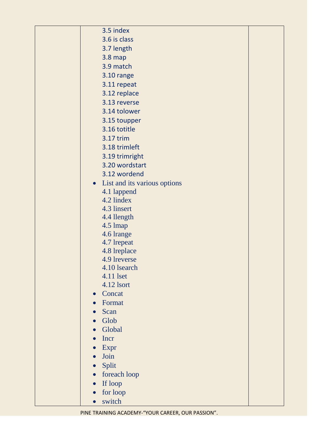|  | 3.5 index                      |  |
|--|--------------------------------|--|
|  | 3.6 is class                   |  |
|  | 3.7 length                     |  |
|  | <b>3.8 map</b>                 |  |
|  | 3.9 match                      |  |
|  | 3.10 range                     |  |
|  | 3.11 repeat                    |  |
|  | 3.12 replace                   |  |
|  | 3.13 reverse                   |  |
|  | 3.14 tolower                   |  |
|  | 3.15 toupper                   |  |
|  | 3.16 totitle                   |  |
|  | 3.17 trim                      |  |
|  | 3.18 trimleft                  |  |
|  | 3.19 trimright                 |  |
|  | 3.20 wordstart                 |  |
|  | 3.12 wordend                   |  |
|  | • List and its various options |  |
|  | 4.1 lappend                    |  |
|  | 4.2 lindex                     |  |
|  | 4.3 linsert                    |  |
|  | 4.4 llength                    |  |
|  | 4.5 lmap                       |  |
|  | 4.6 lrange                     |  |
|  | 4.7 lrepeat                    |  |
|  | 4.8 lreplace<br>4.9 lreverse   |  |
|  | 4.10 lsearch                   |  |
|  | 4.11 lset                      |  |
|  | 4.12 lsort                     |  |
|  | Concat                         |  |
|  | Format                         |  |
|  | Scan                           |  |
|  | Glob                           |  |
|  | Global                         |  |
|  | Incr                           |  |
|  | Expr                           |  |
|  | Join                           |  |
|  | Split<br>$\bullet$             |  |
|  | foreach loop<br>$\bullet$      |  |
|  | If loop<br>$\bullet$           |  |
|  | for loop                       |  |
|  | switch                         |  |
|  |                                |  |